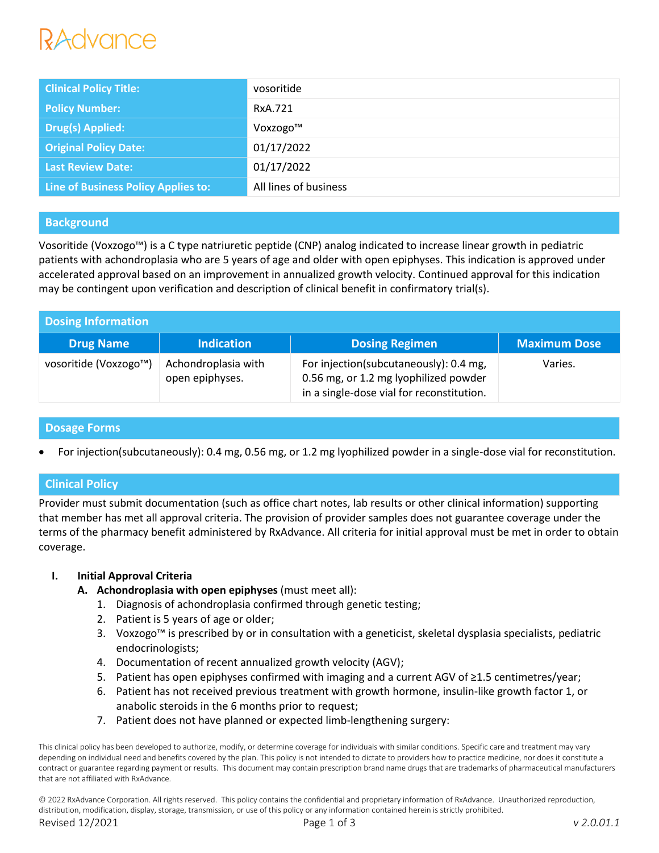| <b>Clinical Policy Title:</b>       | vosoritide            |
|-------------------------------------|-----------------------|
| <b>Policy Number:</b>               | RxA.721               |
| <b>Drug(s) Applied:</b>             | Voxzogo™              |
| <b>Original Policy Date:</b>        | 01/17/2022            |
| <b>Last Review Date:</b>            | 01/17/2022            |
| Line of Business Policy Applies to: | All lines of business |

# **Background**

Vosoritide (Voxzogo™) is a C type natriuretic peptide (CNP) analog indicated to increase linear growth in pediatric patients with achondroplasia who are 5 years of age and older with open epiphyses. This indication is approved under accelerated approval based on an improvement in annualized growth velocity. Continued approval for this indication may be contingent upon verification and description of clinical benefit in confirmatory trial(s).

| <b>Dosing Information</b> |                                        |                                                                                                                              |                     |  |
|---------------------------|----------------------------------------|------------------------------------------------------------------------------------------------------------------------------|---------------------|--|
| <b>Drug Name</b>          | <b>Indication</b>                      | <b>Dosing Regimen</b>                                                                                                        | <b>Maximum Dose</b> |  |
| vosoritide (Voxzogo™)     | Achondroplasia with<br>open epiphyses. | For injection(subcutaneously): 0.4 mg,<br>0.56 mg, or 1.2 mg lyophilized powder<br>in a single-dose vial for reconstitution. | Varies.             |  |

# **Dosage Forms**

• For injection(subcutaneously): 0.4 mg, 0.56 mg, or 1.2 mg lyophilized powder in a single-dose vial for reconstitution.

# **Clinical Policy**

Provider must submit documentation (such as office chart notes, lab results or other clinical information) supporting that member has met all approval criteria. The provision of provider samples does not guarantee coverage under the terms of the pharmacy benefit administered by RxAdvance. All criteria for initial approval must be met in order to obtain coverage.

## **I. Initial Approval Criteria**

- **A. Achondroplasia with open epiphyses** (must meet all):
	- 1. Diagnosis of achondroplasia confirmed through genetic testing;
	- 2. Patient is 5 years of age or older;
	- 3. Voxzogo™ is prescribed by or in consultation with a geneticist, skeletal dysplasia specialists, pediatric endocrinologists;
	- 4. Documentation of recent annualized growth velocity (AGV);
	- 5. Patient has open epiphyses confirmed with imaging and a current AGV of ≥1.5 centimetres/year;
	- 6. Patient has not received previous treatment with growth hormone, insulin-like growth factor 1, or anabolic steroids in the 6 months prior to request;
	- 7. Patient does not have planned or expected limb-lengthening surgery:

© 2022 RxAdvance Corporation. All rights reserved. This policy contains the confidential and proprietary information of RxAdvance. Unauthorized reproduction, distribution, modification, display, storage, transmission, or use of this policy or any information contained herein is strictly prohibited. Revised 12/2021 Page 1 of 3 *v 2.0.01.1*

This clinical policy has been developed to authorize, modify, or determine coverage for individuals with similar conditions. Specific care and treatment may vary depending on individual need and benefits covered by the plan. This policy is not intended to dictate to providers how to practice medicine, nor does it constitute a contract or guarantee regarding payment or results. This document may contain prescription brand name drugs that are trademarks of pharmaceutical manufacturers that are not affiliated with RxAdvance.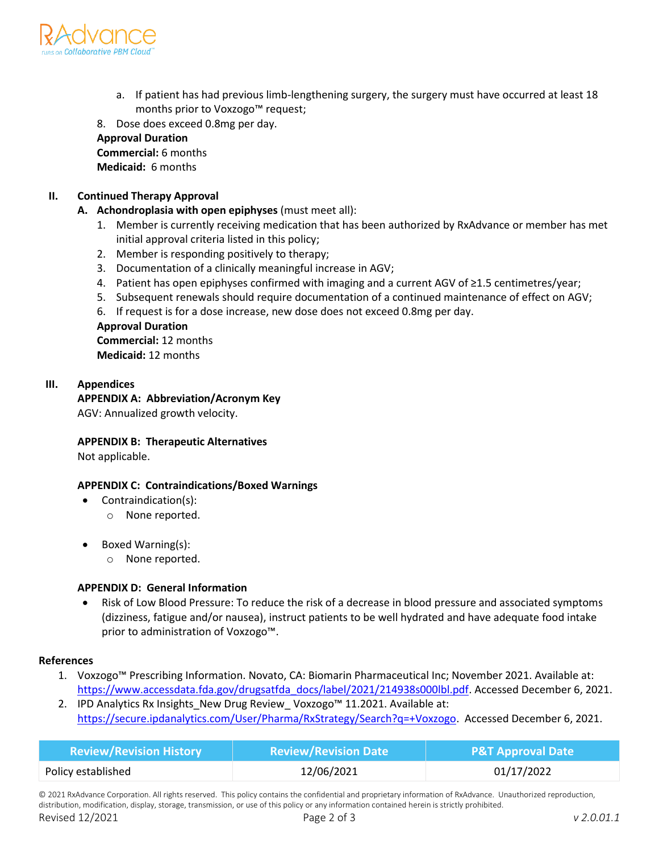

a. If patient has had previous limb-lengthening surgery, the surgery must have occurred at least 18 months prior to Voxzogo™ request;

8. Dose does exceed 0.8mg per day.

**Approval Duration**

**Commercial:** 6 months **Medicaid:** 6 months

# **II. Continued Therapy Approval**

- **A. Achondroplasia with open epiphyses** (must meet all):
	- 1. Member is currently receiving medication that has been authorized by RxAdvance or member has met initial approval criteria listed in this policy;
	- 2. Member is responding positively to therapy;
	- 3. Documentation of a clinically meaningful increase in AGV;
	- 4. Patient has open epiphyses confirmed with imaging and a current AGV of ≥1.5 centimetres/year;
	- 5. Subsequent renewals should require documentation of a continued maintenance of effect on AGV;
	- 6. If request is for a dose increase, new dose does not exceed 0.8mg per day.

### **Approval Duration**

**Commercial:** 12 months **Medicaid:** 12 months

### **III. Appendices**

**APPENDIX A: Abbreviation/Acronym Key**

AGV: Annualized growth velocity.

## **APPENDIX B: Therapeutic Alternatives**

Not applicable.

## **APPENDIX C: Contraindications/Boxed Warnings**

- Contraindication(s):
	- o None reported.
- Boxed Warning(s):
	- o None reported.

#### **APPENDIX D: General Information**

• Risk of Low Blood Pressure: To reduce the risk of a decrease in blood pressure and associated symptoms (dizziness, fatigue and/or nausea), instruct patients to be well hydrated and have adequate food intake prior to administration of Voxzogo™.

#### **References**

- 1. Voxzogo™ Prescribing Information. Novato, CA: Biomarin Pharmaceutical Inc; November 2021. Available at: [https://www.accessdata.fda.gov/drugsatfda\\_docs/label/2021/214938s000lbl.pdf.](https://www.accessdata.fda.gov/drugsatfda_docs/label/2021/214938s000lbl.pdf) Accessed December 6, 2021.
- 2. IPD Analytics Rx Insights New Drug Review Voxzogo™ 11.2021. Available at: [https://secure.ipdanalytics.com/User/Pharma/RxStrategy/Search?q=+Voxzogo.](https://secure.ipdanalytics.com/User/Pharma/RxStrategy/Search?q=+Voxzogo) Accessed December 6, 2021.

| <b>Review/Revision History</b> | <b>Review/Revision Date</b> | <b>P&amp;T Approval Date</b> |
|--------------------------------|-----------------------------|------------------------------|
| Policy established             | 12/06/2021                  | 01/17/2022                   |

© 2021 RxAdvance Corporation. All rights reserved. This policy contains the confidential and proprietary information of RxAdvance. Unauthorized reproduction, distribution, modification, display, storage, transmission, or use of this policy or any information contained herein is strictly prohibited.

Revised 12/2021 Page 2 of 3 *v 2.0.01.1*